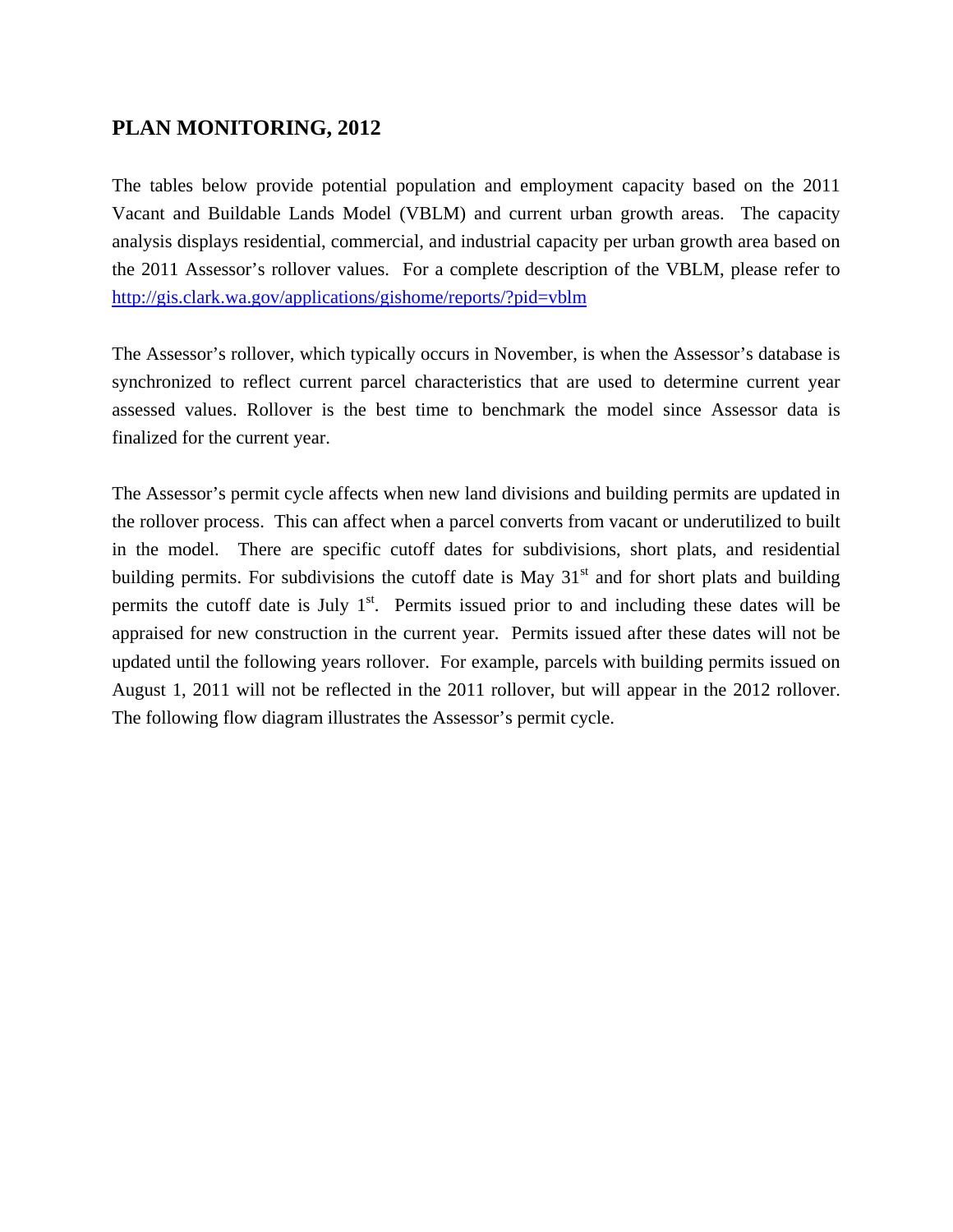## **PLAN MONITORING, 2012**

The tables below provide potential population and employment capacity based on the 2011 Vacant and Buildable Lands Model (VBLM) and current urban growth areas. The capacity analysis displays residential, commercial, and industrial capacity per urban growth area based on the 2011 Assessor's rollover values. For a complete description of the VBLM, please refer to <http://gis.clark.wa.gov/applications/gishome/reports/?pid=vblm>

The Assessor's rollover, which typically occurs in November, is when the Assessor's database is synchronized to reflect current parcel characteristics that are used to determine current year assessed values. Rollover is the best time to benchmark the model since Assessor data is finalized for the current year.

The Assessor's permit cycle affects when new land divisions and building permits are updated in the rollover process. This can affect when a parcel converts from vacant or underutilized to built in the model. There are specific cutoff dates for subdivisions, short plats, and residential building permits. For subdivisions the cutoff date is May  $31<sup>st</sup>$  and for short plats and building permits the cutoff date is July  $1<sup>st</sup>$ . Permits issued prior to and including these dates will be appraised for new construction in the current year. Permits issued after these dates will not be updated until the following years rollover. For example, parcels with building permits issued on August 1, 2011 will not be reflected in the 2011 rollover, but will appear in the 2012 rollover. The following flow diagram illustrates the Assessor's permit cycle.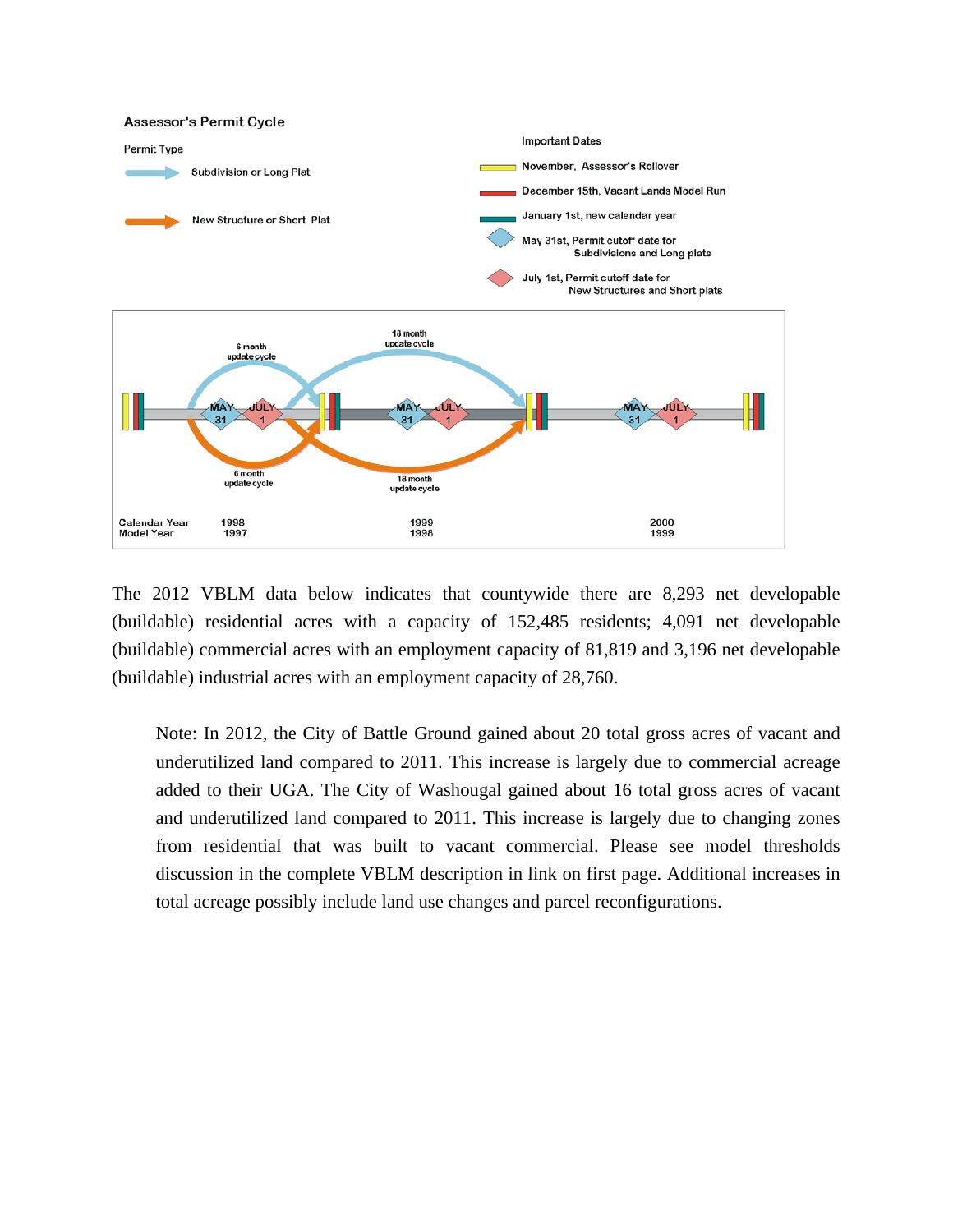

The 2012 VBLM data below indicates that countywide there are 8,293 net developable (buildable) residential acres with a capacity of 152,485 residents; 4,091 net developable (buildable) commercial acres with an employment capacity of 81,819 and 3,196 net developable (buildable) industrial acres with an employment capacity of 28,760.

Note: In 2012, the City of Battle Ground gained about 20 total gross acres of vacant and underutilized land compared to 2011. This increase is largely due to commercial acreage added to their UGA. The City of Washougal gained about 16 total gross acres of vacant and underutilized land compared to 2011. This increase is largely due to changing zones from residential that was built to vacant commercial. Please see model thresholds discussion in the complete VBLM description in link on first page. Additional increases in total acreage possibly include land use changes and parcel reconfigurations.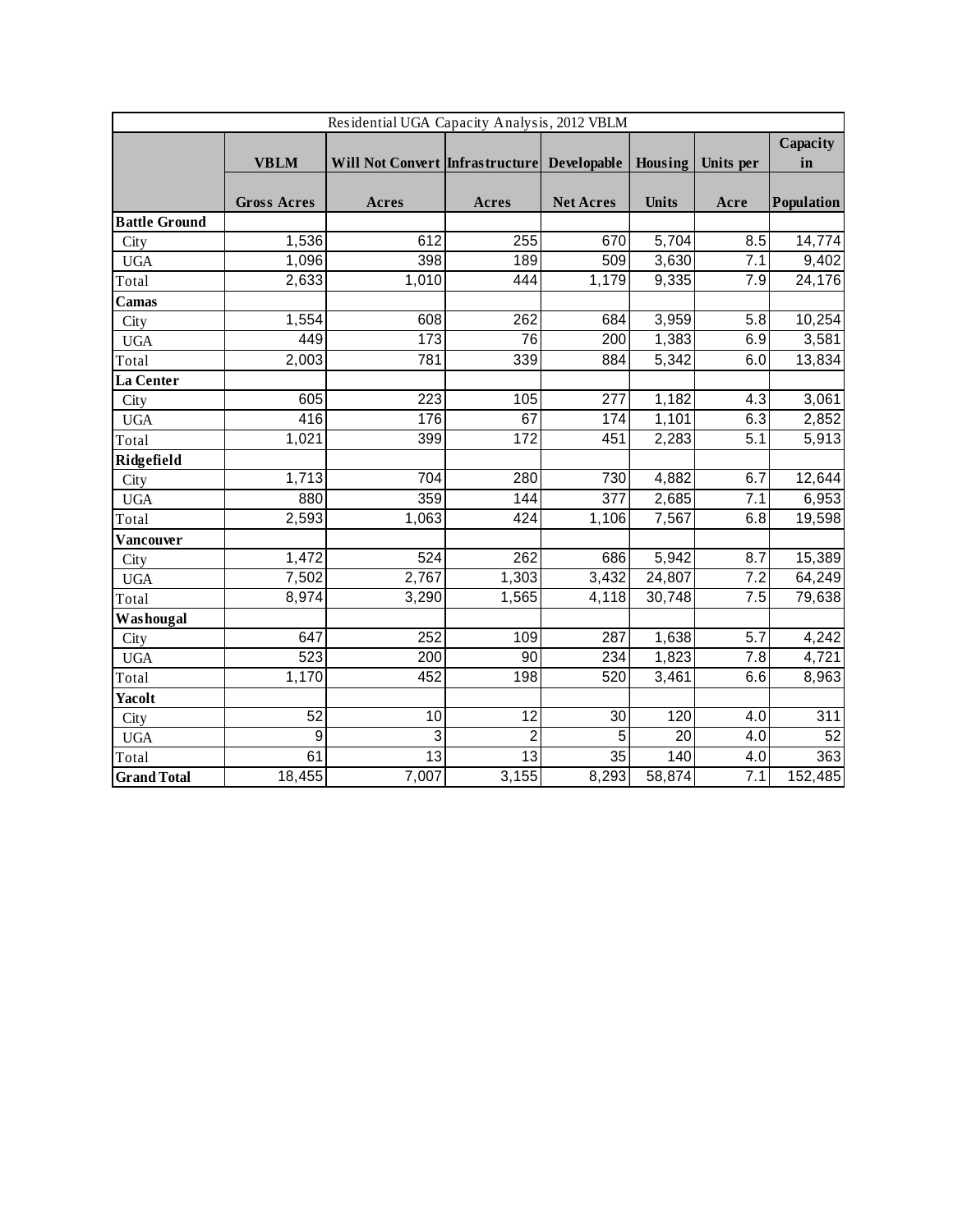| Residential UGA Capacity Analysis, 2012 VBLM |                    |                                             |                  |                  |              |                  |                 |  |
|----------------------------------------------|--------------------|---------------------------------------------|------------------|------------------|--------------|------------------|-----------------|--|
|                                              |                    |                                             |                  |                  |              |                  | Capacity        |  |
|                                              | <b>VBLM</b>        | Will Not Convert Infrastructure Developable |                  |                  | Housing      | Units per        | in              |  |
|                                              |                    |                                             |                  |                  |              |                  |                 |  |
|                                              | <b>Gross Acres</b> | Acres                                       | Acres            | <b>Net Acres</b> | <b>Units</b> | Acre             | Population      |  |
| <b>Battle Ground</b>                         |                    |                                             |                  |                  |              |                  |                 |  |
| City                                         | 1,536              | 612                                         | 255              | 670              | 5,704        | 8.5              | 14,774          |  |
| <b>UGA</b>                                   | 1,096              | 398                                         | 189              | 509              | 3,630        | 7.1              | 9,402           |  |
| Total                                        | 2,633              | 1,010                                       | 444              | 1,179            | 9,335        | 7.9              | 24,176          |  |
| Camas                                        |                    |                                             |                  |                  |              |                  |                 |  |
| City                                         | 1,554              | 608                                         | 262              | 684              | 3,959        | 5.8              | 10,254          |  |
| <b>UGA</b>                                   | 449                | 173                                         | 76               | 200              | 1,383        | 6.9              | 3,581           |  |
| Total                                        | 2,003              | 781                                         | 339              | 884              | 5,342        | 6.0              | 13,834          |  |
| La Center                                    |                    |                                             |                  |                  |              |                  |                 |  |
| City                                         | 605                | 223                                         | 105              | 277              | 1,182        | 4.3              | 3,061           |  |
| <b>UGA</b>                                   | 416                | 176                                         | 67               | 174              | 1,101        | 6.3              | 2,852           |  |
| Total                                        | 1,021              | 399                                         | 172              | 451              | 2,283        | 5.1              | 5,913           |  |
| Ridgefield                                   |                    |                                             |                  |                  |              |                  |                 |  |
| City                                         | 1,713              | 704                                         | 280              | 730              | 4,882        | 6.7              | 12,644          |  |
| <b>UGA</b>                                   | 880                | 359                                         | 144              | $\overline{377}$ | 2,685        | 7.1              | 6,953           |  |
| Total                                        | 2,593              | 1,063                                       | 424              | 1,106            | 7,567        | 6.8              | 19,598          |  |
| Vancouver                                    |                    |                                             |                  |                  |              |                  |                 |  |
| City                                         | 1,472              | 524                                         | $\overline{262}$ | 686              | 5,942        | $\overline{8.7}$ | 15,389          |  |
| <b>UGA</b>                                   | 7,502              | 2,767                                       | 1,303            | 3,432            | 24,807       | 7.2              | 64,249          |  |
| Total                                        | 8,974              | 3,290                                       | 1,565            | 4,118            | 30,748       | 7.5              | 79,638          |  |
| Washougal                                    |                    |                                             |                  |                  |              |                  |                 |  |
| City                                         | 647                | 252                                         | 109              | 287              | 1,638        | $\overline{5.7}$ | 4,242           |  |
| <b>UGA</b>                                   | 523                | 200                                         | 90               | 234              | 1,823        | $\overline{7.8}$ | 4,721           |  |
| Total                                        | 1,170              | 452                                         | 198              | 520              | 3,461        | 6.6              | 8,963           |  |
| <b>Yacolt</b>                                |                    |                                             |                  |                  |              |                  |                 |  |
| City                                         | 52                 | 10                                          | $\overline{12}$  | $\overline{30}$  | 120          | 4.0              | 311             |  |
| <b>UGA</b>                                   | $\overline{9}$     | $\overline{3}$                              | $\overline{2}$   | 5                | 20           | 4.0              | $\overline{52}$ |  |
| Total                                        | 61                 | $\overline{13}$                             | $\overline{13}$  | 35               | 140          | $\overline{4.0}$ | 363             |  |
| <b>Grand Total</b>                           | 18,455             | 7,007                                       | 3,155            | 8,293            | 58,874       | 7.1              | 152,485         |  |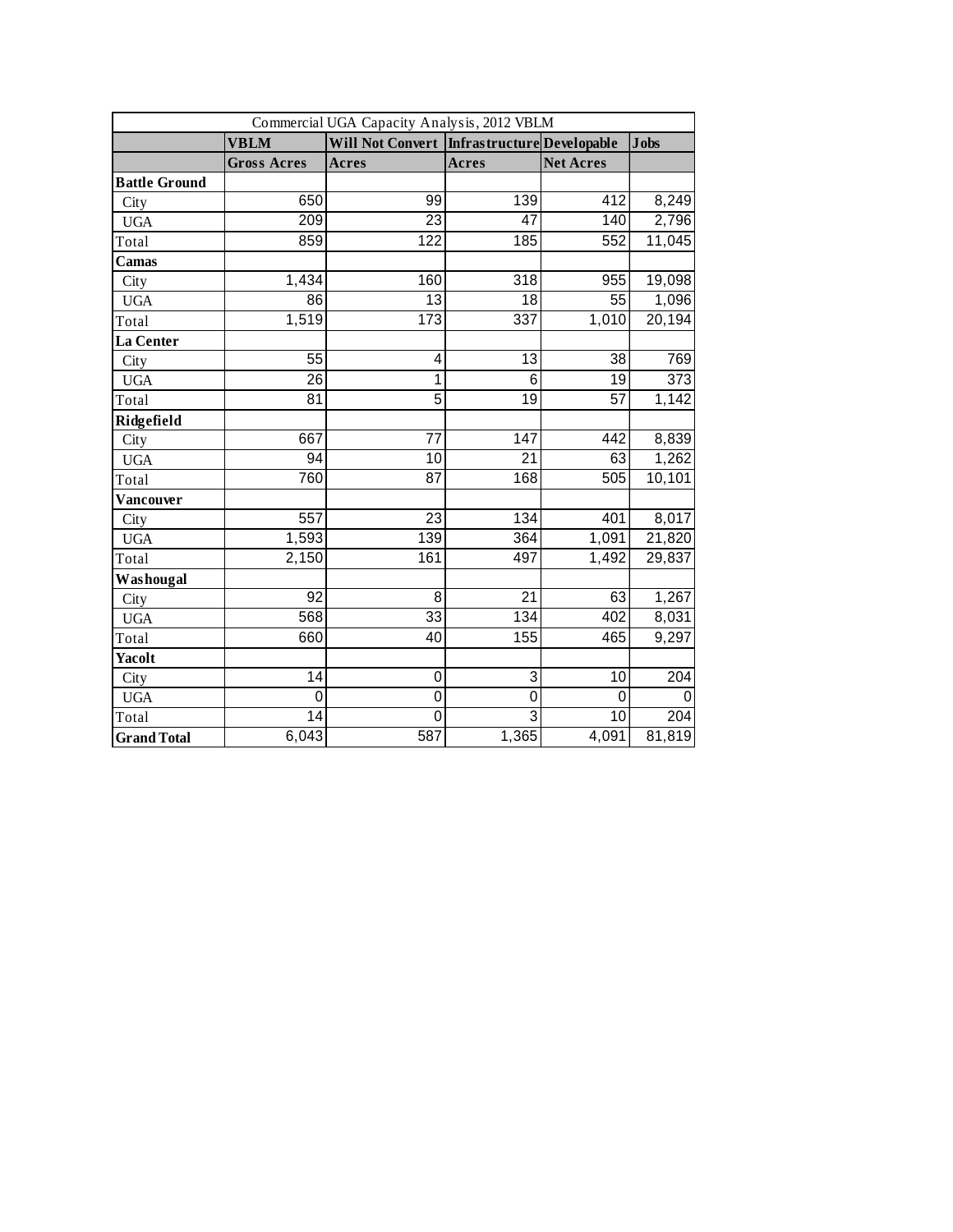| Commercial UGA Capacity Analysis, 2012 VBLM |                    |                                                |                  |                  |                  |  |  |
|---------------------------------------------|--------------------|------------------------------------------------|------------------|------------------|------------------|--|--|
|                                             | <b>VBLM</b>        | Will Not Convert   Infrastructure  Developable |                  |                  | <b>Jobs</b>      |  |  |
|                                             | <b>Gross Acres</b> | Acres                                          | Acres            | <b>Net Acres</b> |                  |  |  |
| <b>Battle Ground</b>                        |                    |                                                |                  |                  |                  |  |  |
| City                                        | 650                | 99                                             | 139              | 412              | 8,249            |  |  |
| <b>UGA</b>                                  | 209                | $\overline{23}$                                | 47               | 140              | 2,796            |  |  |
| Total                                       | 859                | 122                                            | 185              | 552              | 11,045           |  |  |
| Camas                                       |                    |                                                |                  |                  |                  |  |  |
| City                                        | 1,434              | 160                                            | 318              | 955              | 19,098           |  |  |
| <b>UGA</b>                                  | 86                 | 13                                             | 18               | 55               | 1,096            |  |  |
| Total                                       | 1,519              | 173                                            | $\overline{337}$ | 1,010            | 20,194           |  |  |
| La Center                                   |                    |                                                |                  |                  |                  |  |  |
| City                                        | 55                 | 4                                              | 13               | 38               | 769              |  |  |
| <b>UGA</b>                                  | $\overline{26}$    | 1                                              | $\overline{6}$   | $\overline{19}$  | $\overline{373}$ |  |  |
| Total                                       | 81                 | 5                                              | 19               | 57               | 1,142            |  |  |
| Ridgefield                                  |                    |                                                |                  |                  |                  |  |  |
| City                                        | 667                | 77                                             | 147              | 442              | 8,839            |  |  |
| <b>UGA</b>                                  | 94                 | 10                                             | 21               | 63               | 1,262            |  |  |
| Total                                       | 760                | 87                                             | 168              | 505              | 10,101           |  |  |
| Vancouver                                   |                    |                                                |                  |                  |                  |  |  |
| City                                        | 557                | 23                                             | 134              | 401              | 8,017            |  |  |
| <b>UGA</b>                                  | 1,593              | 139                                            | 364              | 1,091            | 21,820           |  |  |
| Total                                       | 2,150              | 161                                            | 497              | 1,492            | 29,837           |  |  |
| Washougal                                   |                    |                                                |                  |                  |                  |  |  |
| City                                        | 92                 | 8                                              | 21               | 63               | 1,267            |  |  |
| <b>UGA</b>                                  | 568                | 33                                             | 134              | 402              | 8,031            |  |  |
| Total                                       | 660                | 40                                             | 155              | 465              | 9,297            |  |  |
| <b>Yacolt</b>                               |                    |                                                |                  |                  |                  |  |  |
| City                                        | $\overline{14}$    | $\pmb{0}$                                      | 3                | $\overline{10}$  | 204              |  |  |
| <b>UGA</b>                                  | 0                  | $\mathbf 0$                                    | $\mathbf 0$      | $\mathbf{0}$     | 0                |  |  |
| Total                                       | 14                 | 0                                              | 3                | 10               | 204              |  |  |
| <b>Grand Total</b>                          | 6,043              | 587                                            | 1,365            | 4,091            | 81,819           |  |  |